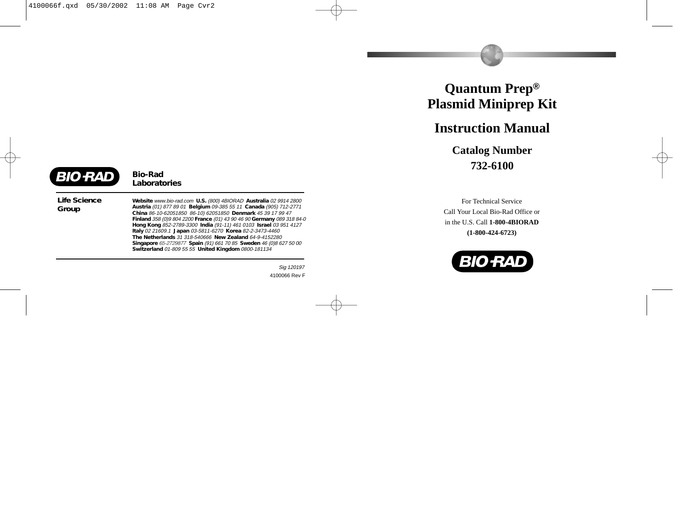# **Quantum Prep ® Plasmid Miniprep Kit**

# **Instruction Manual**

**Catalog Number 732-6100**

For Technical Service Call Your Local Bio-Rad Office or in the U.S. Call **1-800-4BIORAD (1-800-424-6723)**



**BIO RAD** 

*Bio-Rad Laboratories*

*Life Science Group*

*Website* www.bio-rad.com *U.S.* (800) 4BIORAD *Australia* 02 9914 2800 *Austria* (01) 877 89 01 *Belgium* 09-385 55 11 *Canada* (905) 712-2771 *China* 86-10-62051850 86-10) 62051850 *Denmark* 45 39 17 99 47 *Finland* 358 (0)9 804 2200 *France* (01) 43 90 46 90 *Germany* 089 318 84-0 *Hong Kong* 852-2789-3300 *India* (91-11) 461 0103 *Israel* 03 951 4127 *Italy* 02 21609.1 *Japan* 03-5811-6270 *Korea* 82-2-3473-4460 *The Netherlands* 31 318-540666 *New Zealand* 64-9-4152280 *Singapore* 65-2729877 *Spain* (91) 661 70 85 *Sweden* 46 (0)8 627 50 00 *Switzerland* 01-809 55 55 *United Kingdom* 0800-181134

Bulletin 0000 US/EG Rev A 000097 Sig 120197 4100066 Rev F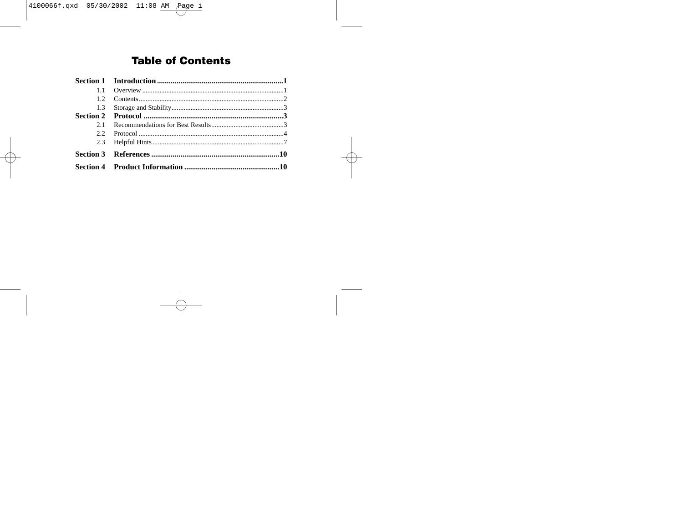# **Table of Contents**

| 1.1 |  |
|-----|--|
| 12  |  |
|     |  |
|     |  |
| 21  |  |
|     |  |
|     |  |
|     |  |
|     |  |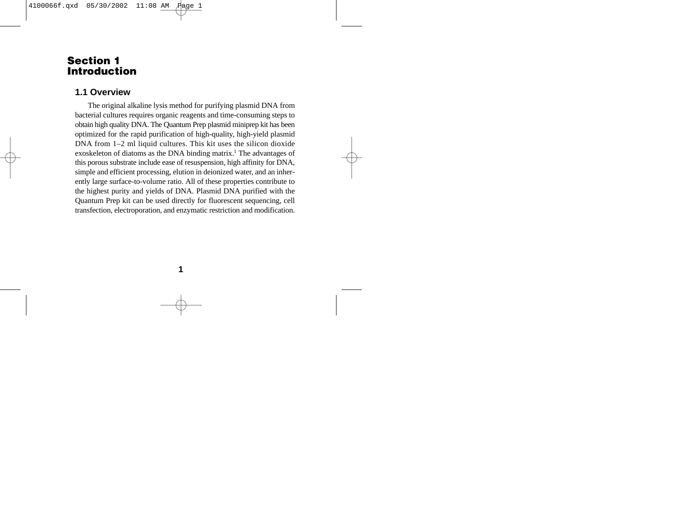## **Section 1 Introduction**

#### **1.1 Overview**

The original alkaline lysis method for purifying plasmid DNA from bacterial cultures requires organic reagents and time-consuming steps to obtain high quality DNA. The Quantum Prep plasmid miniprep kit has been optimized for the rapid purification of high-quality, high-yield plasmid DNA from 1–2 ml liquid cultures. This kit uses the silicon dioxide exoskeleton of diatoms as the DNA binding matrix.<sup>1</sup> The advantages of this porous substrate include ease of resuspension, high affinity for DNA, simple and efficient processing, elution in deionized water, and an inherently large surface-to-volume ratio. All of these properties contribute to the highest purity and yields of DNA. Plasmid DNA purified with the Quantum Prep kit can be used directly for fluorescent sequencing, cell transfection, electroporation, and enzymatic restriction and modification.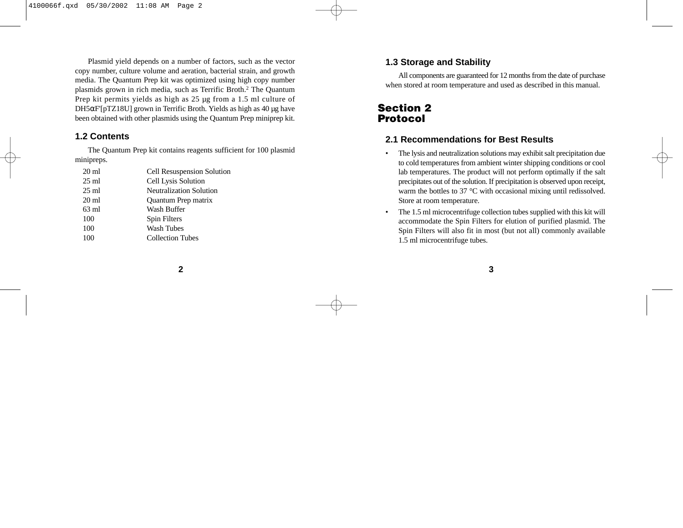Plasmid yield depends on a number of factors, such as the vector copy number, culture volume and aeration, bacterial strain, and growth media. The Quantum Prep kit was optimized using high copy number <sup>p</sup>lasmids grown in rich media, such as Terrific Broth.2 The Quantum Prep kit permits yields as high as 25 µg from a 1.5 ml culture of DH5 <sup>α</sup>F'[pTZ18U] grown in Terrific Broth. Yields as high as 40 µg have been obtained with other plasmids using the Quantum Prep miniprep kit.

#### **1.2 Contents**

The Quantum Prep kit contains reagents sufficient for 100 plasmid minipreps.

| $20 \text{ ml}$ | <b>Cell Resuspension Solution</b> |
|-----------------|-----------------------------------|
| $25 \text{ ml}$ | Cell Lysis Solution               |
| $25 \text{ ml}$ | Neutralization Solution           |
| $20 \text{ ml}$ | Quantum Prep matrix               |
| $63 \text{ ml}$ | Wash Buffer                       |
| 100             | Spin Filters                      |
| 100             | Wash Tubes                        |
| 100             | <b>Collection Tubes</b>           |
|                 |                                   |

### **1.3 Storage and Stability**

All components are guaranteed for 12 months from the date of purchase when stored at room temperature and used as described in this manual.

# **Section 2 Protocol**

### **2.1 Recommendations for Best Results**

- • The lysis and neutralization solutions may exhibit salt precipitation due to cold temperatures from ambient winter shipping conditions or cool lab temperatures. The product will not perform optimally if the salt precipitates out of the solution. If precipitation is observed upon receipt, warm the bottles to 37 °C with occasional mixing until redissolved. Store at room temperature.
- • The 1.5 ml microcentrifuge collection tubes supplied with this kit will accommodate the Spin Filters for elution of purified plasmid. The Spin Filters will also fit in most (but not all) commonly available 1.5 ml microcentrifuge tubes.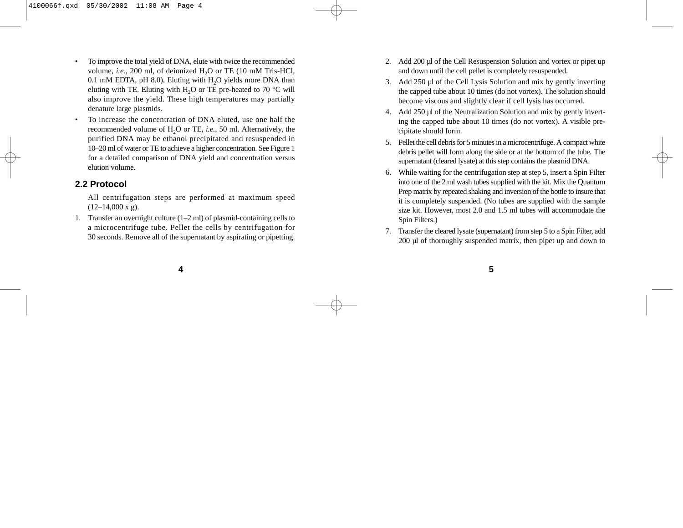- • To improve the total yield of DNA, elute with twice the recommended volume, *i.e.*, 200 ml, of deionized H<sub>2</sub>O or TE (10 mM Tris-HCl,  $0.1 \text{ mM EDTA}, \text{pH } 8.0$ . Eluting with  $H<sub>2</sub>O$  yields more DNA than eluting with TE. Eluting with H<sub>2</sub>O or TE pre-heated to  $70^{\circ}$ C will also improve the yield. These high temperatures may partially denature large plasmids.
- • To increase the concentration of DNA eluted, use one half the recommended volume of H2O or TE, *i.e.*, 50 ml. Alternatively, the purified DNA may be ethanol precipitated and resuspended in 10–20 ml of water or TE to achieve a higher concentration. See Figure 1 for a detailed comparison of DNA yield and concentration versus elution volume.

### **2.2 Protocol**

- All centrifugation steps are performed at maximum speed  $(12-14,000 \text{ x g}).$
- 1. Transfer an overnight culture (1–2 ml) of plasmid-containing cells to a microcentrifuge tube. Pellet the cells by centrifugation for 30 seconds. Remove all of the supernatant by aspirating or pipetting.
- 2. Add 200 µl of the Cell Resuspension Solution and vortex or pipet up and down until the cell pellet is completely resuspended.
- 3. Add 250 µl of the Cell Lysis Solution and mix by gently inverting the capped tube about 10 times (do not vortex). The solution should become viscous and slightly clear if cell lysis has occurred.
- 4. Add 250 µl of the Neutralization Solution and mix by gently inverting the capped tube about 10 times (do not vortex). A visible precipitate should form.
- 5. Pellet the cell debris for 5 minutes in a microcentrifuge. A compact white debris pellet will form along the side or at the bottom of the tube. The supernatant (cleared lysate) at this step contains the plasmid DNA.
- 6. While waiting for the centrifugation step at step 5, insert a Spin Filter into one of the 2 ml wash tubes supplied with the kit. Mix the Quantum Prep matrix by repeated shaking and inversion of the bottle to insure that it is completely suspended. (No tubes are supplied with the sample size kit. However, most 2.0 and 1.5 ml tubes will accommodate the Spin Filters.)
- Transfer the cleared lysate (supernatant) from step 5 to a Spin Filter, add 200 µl of thoroughly suspended matrix, then pipet up and down to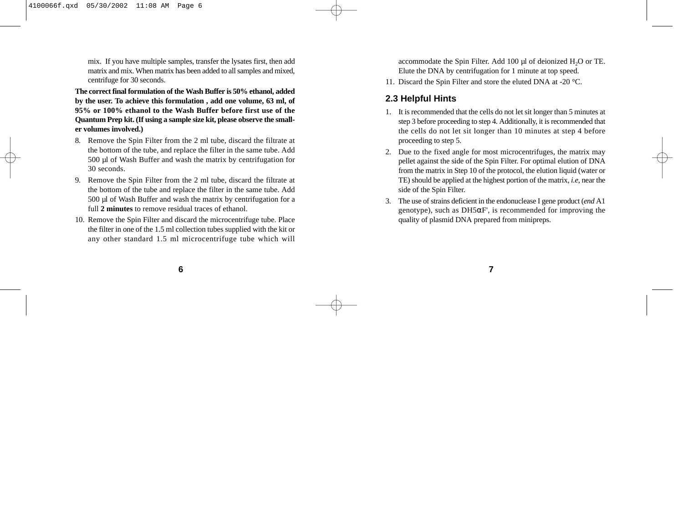mix. If you have multiple samples, transfer the lysates first, then add matrix and mix. When matrix has been added to all samples and mixed, centrifuge for 30 seconds.

**The correct final formulation of the Wash Buffer is 50% ethanol, added by the user. To achieve this formulation , add one volume, 63 ml, of 95% or 100% ethanol to the Wash Buffer before first use of the Quantum Prep kit. (If using a sample size kit, please observe the smaller volumes involved.)**

- 8. Remove the Spin Filter from the 2 ml tube, discard the filtrate at the bottom of the tube, and replace the filter in the same tube. Add 500 µl of Wash Buffer and wash the matrix by centrifugation for 30 seconds.
- 9. Remove the Spin Filter from the 2 ml tube, discard the filtrate at the bottom of the tube and replace the filter in the same tube. Add 500 µl of Wash Buffer and wash the matrix by centrifugation for a full **2 minutes** to remove residual traces of ethanol.
- 10. Remove the Spin Filter and discard the microcentrifuge tube. Place the filter in one of the 1.5 ml collection tubes supplied with the kit or any other standard 1.5 ml microcentrifuge tube which will

accommodate the Spin Filter. Add 100 µl of deionized H<sub>2</sub>O or TE. Elute the DNA by centrifugation for 1 minute at top speed.

11. Discard the Spin Filter and store the eluted DNA at -20 °C.

#### **2.3 Helpful Hints**

- It is recommended that the cells do not let sit longer than 5 minutes at step 3 before proceeding to step 4. Additionally, it is recommended that the cells do not let sit longer than 10 minutes at step 4 before proceeding to step 5.
- 2. Due to the fixed angle for most microcentrifuges, the matrix may pellet against the side of the Spin Filter. For optimal elution of DNA from the matrix in Step 10 of the protocol, the elution liquid (water or TE) should be applied at the highest portion of the matrix, *i.e*, near the side of the Spin Filter.
- 3. The use of strains deficient in the endonuclease I gene product (*end* A1 genotype), such as DH5 <sup>α</sup>F', is recommended for improving the quality of plasmid DNA prepared from minipreps.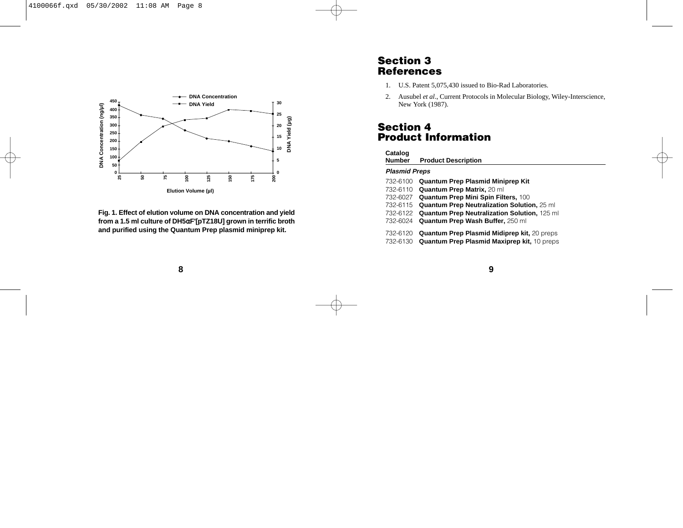

**Fig. 1. Effect of elution volume on DNA concentration and yield from a 1.5 ml culture of DH5**α**F'[pTZ18U] grown in terrific broth and purified using the Quantum Prep plasmid miniprep kit.**

## **Section 3 References**

- 1. U.S. Patent 5,075,430 issued to Bio-Rad Laboratories.
- 2. Ausubel *et al*., Current Protocols in Molecular Biology, Wiley-Interscience, New York (1987).

# **Section 4 Product Information**

# **Catalog**

**Product Description** 

#### **Plasmid Preps**

- 732-6100 **Quantum Prep Plasmid Miniprep Kit**
- 732-6110 **Quantum Prep Matrix,** 20 ml
- 732-6027 **Quantum Prep Mini Spin Filters,** 100
- 732-6115 **Quantum Prep Neutralization Solution,** 25 ml
- 732-6122 **Quantum Prep Neutralization Solution,** 125 ml
- 732-6024 **Quantum Prep Wash Buffer,** 250 ml
- 732-6120 **Quantum Prep Plasmid Midiprep kit,** 20 preps
- 732-6130 **Quantum Prep Plasmid Maxiprep kit,** 10 preps